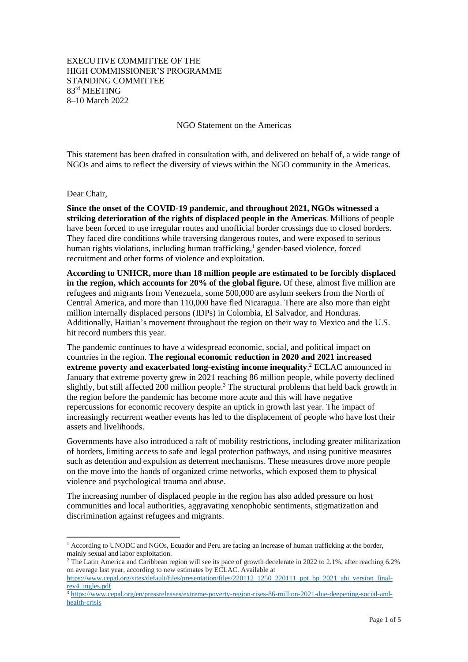## EXECUTIVE COMMITTEE OF THE HIGH COMMISSIONER'S PROGRAMME STANDING COMMITTEE 83 rd MEETING 8–10 March 2022

NGO Statement on the Americas

This statement has been drafted in consultation with, and delivered on behalf of, a wide range of NGOs and aims to reflect the diversity of views within the NGO community in the Americas.

Dear Chair,

**Since the onset of the COVID-19 pandemic, and throughout 2021, NGOs witnessed a striking deterioration of the rights of displaced people in the Americas**. Millions of people have been forced to use irregular routes and unofficial border crossings due to closed borders. They faced dire conditions while traversing dangerous routes, and were exposed to serious human rights violations, including human trafficking, <sup>1</sup> gender-based violence, forced recruitment and other forms of violence and exploitation.

**According to UNHCR, more than 18 million people are estimated to be forcibly displaced in the region, which accounts for 20% of the global figure.** Of these, almost five million are refugees and migrants from Venezuela, some 500,000 are asylum seekers from the North of Central America, and more than 110,000 have fled Nicaragua. There are also more than eight million internally displaced persons (IDPs) in Colombia, El Salvador, and Honduras. Additionally, Haitian's movement throughout the region on their way to Mexico and the U.S. hit record numbers this year.

The pandemic continues to have a widespread economic, social, and political impact on countries in the region. **The regional economic reduction in 2020 and 2021 increased extreme poverty and exacerbated long-existing income inequality**. <sup>2</sup> ECLAC announced in January that extreme poverty grew in 2021 reaching 86 million people, while poverty declined slightly, but still affected 200 million people.<sup>3</sup> The structural problems that held back growth in the region before the pandemic has become more acute and this will have negative repercussions for economic recovery despite an uptick in growth last year. The impact of increasingly recurrent weather events has led to the displacement of people who have lost their assets and livelihoods.

Governments have also introduced a raft of mobility restrictions, including greater militarization of borders, limiting access to safe and legal protection pathways, and using punitive measures such as detention and expulsion as deterrent mechanisms. These measures drove more people on the move into the hands of organized crime networks, which exposed them to physical violence and psychological trauma and abuse.

The increasing number of displaced people in the region has also added pressure on host communities and local authorities, aggravating xenophobic sentiments, stigmatization and discrimination against refugees and migrants.

 $1$  According to UNODC and NGOs, Ecuador and Peru are facing an increase of human trafficking at the border, mainly sexual and labor exploitation.

<sup>&</sup>lt;sup>2</sup> The Latin America and Caribbean region will see its pace of growth decelerate in 2022 to 2.1%, after reaching 6.2% on average last year, according to new estimates by ECLAC. Available at

[https://www.cepal.org/sites/default/files/presentation/files/220112\\_1250\\_220111\\_ppt\\_bp\\_2021\\_abi\\_version\\_final](https://www.cepal.org/sites/default/files/presentation/files/220112_1250_220111_ppt_bp_2021_abi_version_final-rev4_ingles.pdf)[rev4\\_ingles.pdf](https://www.cepal.org/sites/default/files/presentation/files/220112_1250_220111_ppt_bp_2021_abi_version_final-rev4_ingles.pdf)

<sup>3</sup> [https://www.cepal.org/en/pressreleases/extreme-poverty-region-rises-86-million-2021-due-deepening-social-and](https://www.cepal.org/en/pressreleases/extreme-poverty-region-rises-86-million-2021-due-deepening-social-and-health-crisis)[health-crisis](https://www.cepal.org/en/pressreleases/extreme-poverty-region-rises-86-million-2021-due-deepening-social-and-health-crisis)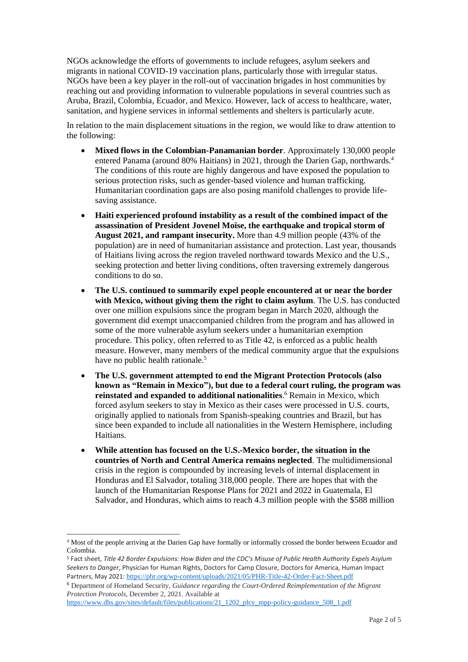NGOs acknowledge the efforts of governments to include refugees, asylum seekers and migrants in national COVID-19 vaccination plans, particularly those with irregular status. NGOs have been a key player in the roll-out of vaccination brigades in host communities by reaching out and providing information to vulnerable populations in several countries such as Aruba, Brazil, Colombia, Ecuador, and Mexico. However, lack of access to healthcare, water, sanitation, and hygiene services in informal settlements and shelters is particularly acute.

In relation to the main displacement situations in the region, we would like to draw attention to the following:

- **Mixed flows in the Colombian-Panamanian border**. Approximately 130,000 people entered Panama (around 80% Haitians) in 2021, through the Darien Gap, northwards.<sup>4</sup> The conditions of this route are highly dangerous and have exposed the population to serious protection risks, such as gender-based violence and human trafficking. Humanitarian coordination gaps are also posing manifold challenges to provide lifesaving assistance.
- **Haiti experienced profound instability as a result of the combined impact of the assassination of President Jovenel Moïse, the earthquake and tropical storm of August 2021, and rampant insecurity.** More than 4.9 million people (43% of the population) are in need of humanitarian assistance and protection. Last year, thousands of Haitians living across the region traveled northward towards Mexico and the U.S., seeking protection and better living conditions, often traversing extremely dangerous conditions to do so.
- **The U.S. continued to summarily expel people encountered at or near the border with Mexico, without giving them the right to claim asylum**. The U.S. has conducted over one million expulsions since the program began in March 2020, although the government did exempt unaccompanied children from the program and has allowed in some of the more vulnerable asylum seekers under a humanitarian exemption procedure. This policy, often referred to as Title 42, is enforced as a public health measure. However, many members of the medical community argue that the expulsions have no public health rationale.<sup>5</sup>
- **The U.S. government attempted to end the Migrant Protection Protocols (also known as "Remain in Mexico"), but due to a federal court ruling, the program was reinstated and expanded to additional nationalities**. <sup>6</sup> Remain in Mexico, which forced asylum seekers to stay in Mexico as their cases were processed in U.S. courts, originally applied to nationals from Spanish-speaking countries and Brazil, but has since been expanded to include all nationalities in the Western Hemisphere, including Haitians.
- **While attention has focused on the U.S.-Mexico border, the situation in the countries of North and Central America remains neglected**. The multidimensional crisis in the region is compounded by increasing levels of internal displacement in Honduras and El Salvador, totaling 318,000 people. There are hopes that with the launch of the Humanitarian Response Plans for 2021 and 2022 in Guatemala, El Salvador, and Honduras, which aims to reach 4.3 million people with the \$588 million

<sup>4</sup> Most of the people arriving at the Darien Gap have formally or informally crossed the border between Ecuador and Colombia.

<sup>5</sup> Fact sheet, *Title 42 Border Expulsions: How Biden and the CDC's Misuse of Public Health Authority Expels Asylum Seekers to Danger*, Physician for Human Rights, Doctors for Camp Closure, Doctors for America, Human Impact Partners, May 2021: <https://phr.org/wp-content/uploads/2021/05/PHR-Title-42-Order-Fact-Sheet.pdf>

<sup>6</sup> Department of Homeland Security, *Guidance regarding the Court-Ordered Reimplementation of the Migrant Protection Protocols*, December 2, 2021. Available at

[https://www.dhs.gov/sites/default/files/publications/21\\_1202\\_plcy\\_mpp-policy-guidance\\_508\\_1.pdf](https://www.dhs.gov/sites/default/files/publications/21_1202_plcy_mpp-policy-guidance_508_1.pdf)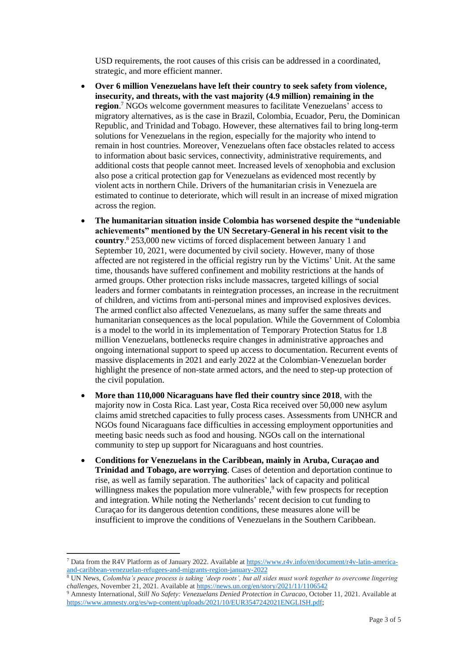USD requirements, the root causes of this crisis can be addressed in a coordinated, strategic, and more efficient manner.

- **Over 6 million Venezuelans have left their country to seek safety from violence, insecurity, and threats, with the vast majority (4.9 million) remaining in the region**. <sup>7</sup> NGOs welcome government measures to facilitate Venezuelans' access to migratory alternatives, as is the case in Brazil, Colombia, Ecuador, Peru, the Dominican Republic, and Trinidad and Tobago. However, these alternatives fail to bring long-term solutions for Venezuelans in the region, especially for the majority who intend to remain in host countries. Moreover, Venezuelans often face obstacles related to access to information about basic services, connectivity, administrative requirements, and additional costs that people cannot meet. Increased levels of xenophobia and exclusion also pose a critical protection gap for Venezuelans as evidenced most recently by violent acts in northern Chile. Drivers of the humanitarian crisis in Venezuela are estimated to continue to deteriorate, which will result in an increase of mixed migration across the region.
- **The humanitarian situation inside Colombia has worsened despite the "undeniable achievements" mentioned by the UN Secretary-General in his recent visit to the country**. <sup>8</sup> 253,000 new victims of forced displacement between January 1 and September 10, 2021, were documented by civil society. However, many of those affected are not registered in the official registry run by the Victims' Unit. At the same time, thousands have suffered confinement and mobility restrictions at the hands of armed groups. Other protection risks include massacres, targeted killings of social leaders and former combatants in reintegration processes, an increase in the recruitment of children, and victims from anti-personal mines and improvised explosives devices. The armed conflict also affected Venezuelans, as many suffer the same threats and humanitarian consequences as the local population. While the Government of Colombia is a model to the world in its implementation of Temporary Protection Status for 1.8 million Venezuelans, bottlenecks require changes in administrative approaches and ongoing international support to speed up access to documentation. Recurrent events of massive displacements in 2021 and early 2022 at the Colombian-Venezuelan border highlight the presence of non-state armed actors, and the need to step-up protection of the civil population.
- **More than 110,000 Nicaraguans have fled their country since 2018**, with the majority now in Costa Rica. Last year, Costa Rica received over 50,000 new asylum claims amid stretched capacities to fully process cases. Assessments from UNHCR and NGOs found Nicaraguans face difficulties in accessing employment opportunities and meeting basic needs such as food and housing. NGOs call on the international community to step up support for Nicaraguans and host countries.
- **Conditions for Venezuelans in the Caribbean, mainly in Aruba, Curaçao and Trinidad and Tobago, are worrying**. Cases of detention and deportation continue to rise, as well as family separation. The authorities' lack of capacity and political willingness makes the population more vulnerable,<sup>9</sup> with few prospects for reception and integration. While noting the Netherlands' recent decision to cut funding to Curaçao for its dangerous detention conditions, these measures alone will be insufficient to improve the conditions of Venezuelans in the Southern Caribbean.

<sup>7</sup> Data from the R4V Platform as of January 2022. Available a[t https://www.r4v.info/en/document/r4v-latin-america](https://www.r4v.info/en/document/r4v-latin-america-and-caribbean-venezuelan-refugees-and-migrants-region-january-2022)[and-caribbean-venezuelan-refugees-and-migrants-region-january-2022](https://www.r4v.info/en/document/r4v-latin-america-and-caribbean-venezuelan-refugees-and-migrants-region-january-2022)

<sup>8</sup> UN News, *Colombia's peace process is taking 'deep roots', but all sides must work together to overcome lingering challenges*, November 21, 2021. Available a[t https://news.un.org/en/story/2021/11/1106542](https://news.un.org/en/story/2021/11/1106542)

<sup>9</sup> Amnesty International, *Still No Safety: Venezuelans Denied Protection in Curacao*, October 11, 2021. Available at [https://www.amnesty.org/es/wp-content/uploads/2021/10/EUR3547242021ENGLISH.pdf;](https://www.amnesty.org/es/wp-content/uploads/2021/10/EUR3547242021ENGLISH.pdf)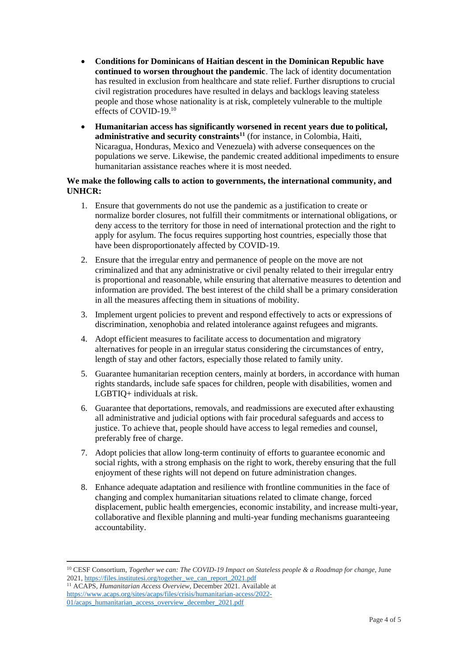- **Conditions for Dominicans of Haitian descent in the Dominican Republic have continued to worsen throughout the pandemic**. The lack of identity documentation has resulted in exclusion from healthcare and state relief. Further disruptions to crucial civil registration procedures have resulted in delays and backlogs leaving stateless people and those whose nationality is at risk, completely vulnerable to the multiple effects of COVID-19.<sup>10</sup>
- **Humanitarian access has significantly worsened in recent years due to political, administrative and security constraints<sup>11</sup>** (for instance, in Colombia, Haiti, Nicaragua, Honduras, Mexico and Venezuela) with adverse consequences on the populations we serve. Likewise, the pandemic created additional impediments to ensure humanitarian assistance reaches where it is most needed.

## **We make the following calls to action to governments, the international community, and UNHCR:**

- 1. Ensure that governments do not use the pandemic as a justification to create or normalize border closures, not fulfill their commitments or international obligations, or deny access to the territory for those in need of international protection and the right to apply for asylum. The focus requires supporting host countries, especially those that have been disproportionately affected by COVID-19.
- 2. Ensure that the irregular entry and permanence of people on the move are not criminalized and that any administrative or civil penalty related to their irregular entry is proportional and reasonable, while ensuring that alternative measures to detention and information are provided. The best interest of the child shall be a primary consideration in all the measures affecting them in situations of mobility.
- 3. Implement urgent policies to prevent and respond effectively to acts or expressions of discrimination, xenophobia and related intolerance against refugees and migrants.
- 4. Adopt efficient measures to facilitate access to documentation and migratory alternatives for people in an irregular status considering the circumstances of entry, length of stay and other factors, especially those related to family unity.
- 5. Guarantee humanitarian reception centers, mainly at borders, in accordance with human rights standards, include safe spaces for children, people with disabilities, women and LGBTIQ+ individuals at risk.
- 6. Guarantee that deportations, removals, and readmissions are executed after exhausting all administrative and judicial options with fair procedural safeguards and access to justice. To achieve that, people should have access to legal remedies and counsel, preferably free of charge.
- 7. Adopt policies that allow long-term continuity of efforts to guarantee economic and social rights, with a strong emphasis on the right to work, thereby ensuring that the full enjoyment of these rights will not depend on future administration changes.
- 8. Enhance adequate adaptation and resilience with frontline communities in the face of changing and complex humanitarian situations related to climate change, forced displacement, public health emergencies, economic instability, and increase multi-year, collaborative and flexible planning and multi-year funding mechanisms guaranteeing accountability.

<sup>10</sup> CESF Consortium, *Together we can: The COVID-19 Impact on Stateless people & a Roadmap for change*, June 2021[, https://files.institutesi.org/together\\_we\\_can\\_report\\_2021.pdf](https://files.institutesi.org/together_we_can_report_2021.pdf)

<sup>11</sup> ACAPS, *Humanitarian Access Overview*, December 2021. Available at [https://www.acaps.org/sites/acaps/files/crisis/humanitarian-access/2022-](https://www.acaps.org/sites/acaps/files/crisis/humanitarian-access/2022-01/acaps_humanitarian_access_overview_december_2021.pdf) [01/acaps\\_humanitarian\\_access\\_overview\\_december\\_2021.pdf](https://www.acaps.org/sites/acaps/files/crisis/humanitarian-access/2022-01/acaps_humanitarian_access_overview_december_2021.pdf)